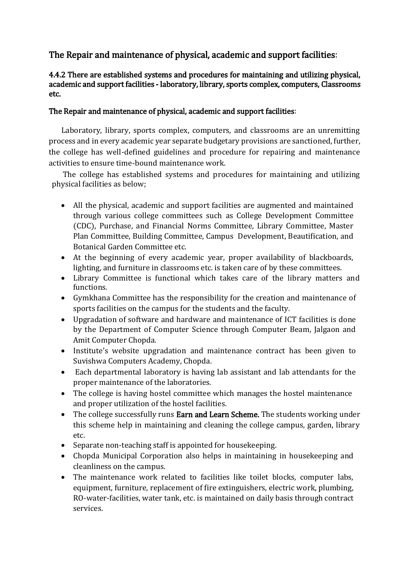## The Repair and maintenance of physical, academic and support facilities:

## 4.4.2 There are established systems and procedures for maintaining and utilizing physical, academic and support facilities - laboratory, library, sports complex, computers, Classrooms etc.

## The Repair and maintenance of physical, academic and support facilities:

 Laboratory, library, sports complex, computers, and classrooms are an unremitting process and in every academic year separate budgetary provisions are sanctioned, further, the college has well-defined guidelines and procedure for repairing and maintenance activities to ensure time-bound maintenance work.

 The college has established systems and procedures for maintaining and utilizing physical facilities as below;

- All the physical, academic and support facilities are augmented and maintained through various college committees such as College Development Committee (CDC), Purchase, and Financial Norms Committee, Library Committee, Master Plan Committee, Building Committee, Campus Development, Beautification, and Botanical Garden Committee etc.
- At the beginning of every academic year, proper availability of blackboards, lighting, and furniture in classrooms etc. is taken care of by these committees.
- Library Committee is functional which takes care of the library matters and functions.
- Gymkhana Committee has the responsibility for the creation and maintenance of sports facilities on the campus for the students and the faculty.
- Upgradation of software and hardware and maintenance of ICT facilities is done by the Department of Computer Science through Computer Beam, Jalgaon and Amit Computer Chopda.
- Institute's website upgradation and maintenance contract has been given to Suvishwa Computers Academy, Chopda.
- Each departmental laboratory is having lab assistant and lab attendants for the proper maintenance of the laboratories.
- The college is having hostel committee which manages the hostel maintenance and proper utilization of the hostel facilities.
- The college successfully runs Earn and Learn Scheme. The students working under this scheme help in maintaining and cleaning the college campus, garden, library etc.
- Separate non-teaching staff is appointed for housekeeping.
- Chopda Municipal Corporation also helps in maintaining in housekeeping and cleanliness on the campus.
- The maintenance work related to facilities like toilet blocks, computer labs, equipment, furniture, replacement of fire extinguishers, electric work, plumbing, RO-water-facilities, water tank, etc. is maintained on daily basis through contract services.